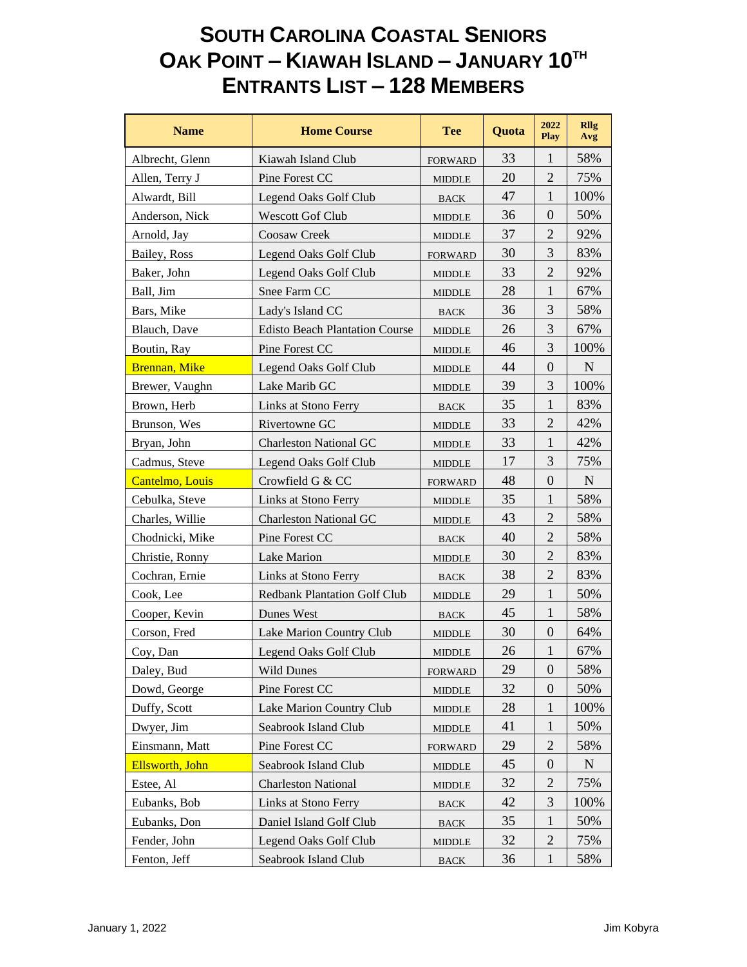| <b>Name</b>           | <b>Home Course</b>                    | <b>Tee</b>                      | Quota | 2022<br><b>Play</b> | <b>Rllg</b><br>Avg |
|-----------------------|---------------------------------------|---------------------------------|-------|---------------------|--------------------|
| Albrecht, Glenn       | Kiawah Island Club                    | <b>FORWARD</b>                  | 33    | $\mathbf{1}$        | 58%                |
| Allen, Terry J        | Pine Forest CC                        | <b>MIDDLE</b>                   | 20    | $\overline{2}$      | 75%                |
| Alwardt, Bill         | Legend Oaks Golf Club                 | <b>BACK</b>                     | 47    | $\mathbf{1}$        | 100%               |
| Anderson, Nick        | <b>Wescott Gof Club</b>               | <b>MIDDLE</b>                   | 36    | $\mathbf{0}$        | 50%                |
| Arnold, Jay           | Coosaw Creek                          | <b>MIDDLE</b>                   | 37    | $\overline{2}$      | 92%                |
| Bailey, Ross          | Legend Oaks Golf Club                 | <b>FORWARD</b>                  | 30    | 3                   | 83%                |
| Baker, John           | Legend Oaks Golf Club                 | <b>MIDDLE</b>                   | 33    | $\overline{2}$      | 92%                |
| Ball, Jim             | Snee Farm CC                          | <b>MIDDLE</b>                   | 28    | $\mathbf{1}$        | 67%                |
| Bars, Mike            | Lady's Island CC                      | <b>BACK</b>                     | 36    | 3                   | 58%                |
| Blauch, Dave          | <b>Edisto Beach Plantation Course</b> | <b>MIDDLE</b>                   | 26    | 3                   | 67%                |
| Boutin, Ray           | Pine Forest CC                        | <b>MIDDLE</b>                   | 46    | 3                   | 100%               |
| <b>Brennan</b> , Mike | Legend Oaks Golf Club                 | <b>MIDDLE</b>                   | 44    | $\mathbf{0}$        | ${\bf N}$          |
| Brewer, Vaughn        | Lake Marib GC                         | <b>MIDDLE</b>                   | 39    | 3                   | 100%               |
| Brown, Herb           | Links at Stono Ferry                  | <b>BACK</b>                     | 35    | $\mathbf{1}$        | 83%                |
| Brunson, Wes          | Rivertowne GC                         | <b>MIDDLE</b>                   | 33    | $\overline{2}$      | 42%                |
| Bryan, John           | <b>Charleston National GC</b>         | <b>MIDDLE</b>                   | 33    | $\mathbf{1}$        | 42%                |
| Cadmus, Steve         | Legend Oaks Golf Club                 | <b>MIDDLE</b>                   | 17    | 3                   | 75%                |
| Cantelmo, Louis       | Crowfield G & CC                      | <b>FORWARD</b>                  | 48    | $\mathbf{0}$        | ${\bf N}$          |
| Cebulka, Steve        | Links at Stono Ferry                  | <b>MIDDLE</b>                   | 35    | 1                   | 58%                |
| Charles, Willie       | <b>Charleston National GC</b>         | <b>MIDDLE</b>                   | 43    | $\overline{2}$      | 58%                |
| Chodnicki, Mike       | Pine Forest CC                        | <b>BACK</b>                     | 40    | $\overline{2}$      | 58%                |
| Christie, Ronny       | Lake Marion                           | MIDDLE                          | 30    | $\overline{2}$      | 83%                |
| Cochran, Ernie        | Links at Stono Ferry                  | <b>BACK</b>                     | 38    | $\overline{2}$      | 83%                |
| Cook, Lee             | <b>Redbank Plantation Golf Club</b>   | <b>MIDDLE</b>                   | 29    | $\mathbf{1}$        | 50%                |
| Cooper, Kevin         | Dunes West                            | <b>BACK</b>                     | 45    | $\mathbf{1}$        | 58%                |
| Corson, Fred          | Lake Marion Country Club              | <b>MIDDLE</b>                   | 30    | $\overline{0}$      | 64%                |
| Coy, Dan              | Legend Oaks Golf Club                 | <b>MIDDLE</b>                   | 26    | $\mathbf{1}$        | 67%                |
| Daley, Bud            | Wild Dunes                            | <b>FORWARD</b>                  | 29    | $\boldsymbol{0}$    | 58%                |
| Dowd, George          | Pine Forest CC                        | $\ensuremath{\mathsf{MIDDLE}}$  | 32    | $\theta$            | 50%                |
| Duffy, Scott          | Lake Marion Country Club              | $\ensuremath{\mathsf{MIDDLE}}$  | 28    | $\mathbf{1}$        | 100%               |
| Dwyer, Jim            | Seabrook Island Club                  | <b>MIDDLE</b>                   | 41    | 1                   | 50%                |
| Einsmann, Matt        | Pine Forest CC                        | <b>FORWARD</b>                  | 29    | $\mathbf{2}$        | 58%                |
| Ellsworth, John       | Seabrook Island Club                  | $\ensuremath{\mathsf{MIDDLE}}$  | 45    | $\boldsymbol{0}$    | ${\bf N}$          |
| Estee, Al             | <b>Charleston National</b>            | <b>MIDDLE</b>                   | 32    | $\overline{2}$      | 75%                |
| Eubanks, Bob          | Links at Stono Ferry                  | <b>BACK</b>                     | 42    | 3                   | 100%               |
| Eubanks, Don          | Daniel Island Golf Club               | $_{\mbox{\footnotesize{BACK}}}$ | 35    | 1                   | 50%                |
| Fender, John          | Legend Oaks Golf Club                 | <b>MIDDLE</b>                   | 32    | $\overline{2}$      | 75%                |
| Fenton, Jeff          | Seabrook Island Club                  | <b>BACK</b>                     | 36    | $\mathbf{1}$        | 58%                |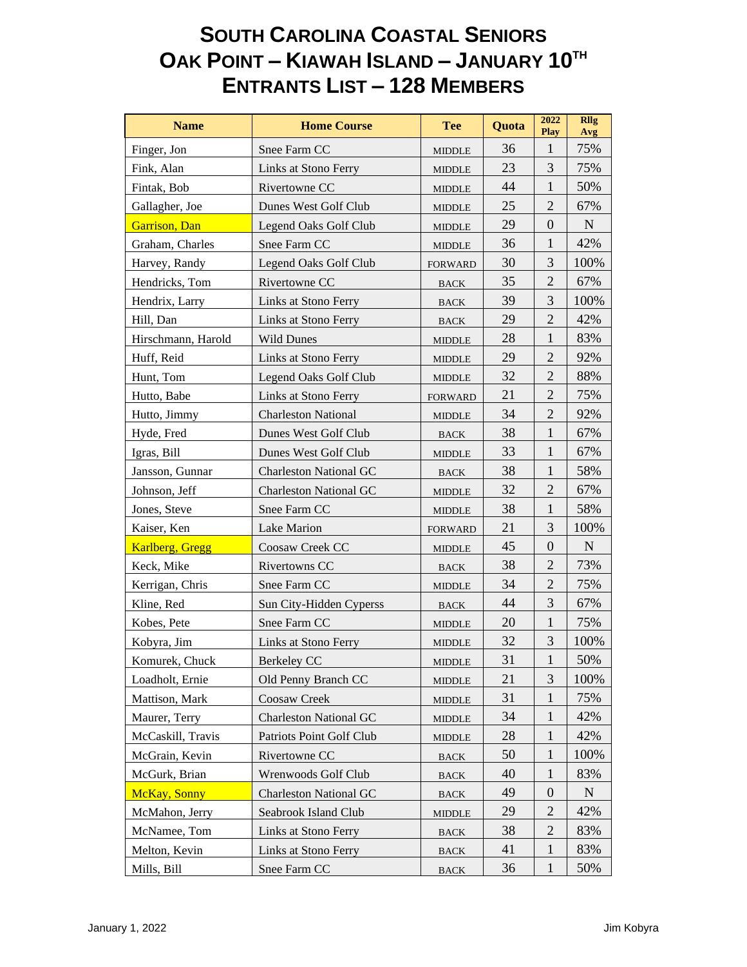| <b>Name</b>        | <b>Home Course</b>            | <b>Tee</b>                      | Quota | 2022<br>Play   | <b>Rllg</b><br>Avg |
|--------------------|-------------------------------|---------------------------------|-------|----------------|--------------------|
| Finger, Jon        | Snee Farm CC                  | <b>MIDDLE</b>                   | 36    | $\mathbf{1}$   | 75%                |
| Fink, Alan         | Links at Stono Ferry          | <b>MIDDLE</b>                   | 23    | 3              | 75%                |
| Fintak, Bob        | Rivertowne CC                 | <b>MIDDLE</b>                   | 44    | $\mathbf{1}$   | 50%                |
| Gallagher, Joe     | Dunes West Golf Club          | <b>MIDDLE</b>                   | 25    | $\overline{2}$ | 67%                |
| Garrison, Dan      | Legend Oaks Golf Club         | <b>MIDDLE</b>                   | 29    | $\mathbf{0}$   | $\mathbf N$        |
| Graham, Charles    | Snee Farm CC                  | <b>MIDDLE</b>                   | 36    | $\mathbf{1}$   | 42%                |
| Harvey, Randy      | Legend Oaks Golf Club         | <b>FORWARD</b>                  | 30    | 3              | 100%               |
| Hendricks, Tom     | Rivertowne CC                 | <b>BACK</b>                     | 35    | $\overline{2}$ | 67%                |
| Hendrix, Larry     | Links at Stono Ferry          | $_{\mbox{\footnotesize{BACK}}}$ | 39    | 3              | 100%               |
| Hill, Dan          | Links at Stono Ferry          | <b>BACK</b>                     | 29    | $\overline{2}$ | 42%                |
| Hirschmann, Harold | <b>Wild Dunes</b>             | <b>MIDDLE</b>                   | 28    | $\mathbf{1}$   | 83%                |
| Huff, Reid         | Links at Stono Ferry          | <b>MIDDLE</b>                   | 29    | $\overline{2}$ | 92%                |
| Hunt, Tom          | Legend Oaks Golf Club         | <b>MIDDLE</b>                   | 32    | $\overline{2}$ | 88%                |
| Hutto, Babe        | Links at Stono Ferry          | <b>FORWARD</b>                  | 21    | $\mathbf{2}$   | 75%                |
| Hutto, Jimmy       | <b>Charleston National</b>    | <b>MIDDLE</b>                   | 34    | $\overline{2}$ | 92%                |
| Hyde, Fred         | Dunes West Golf Club          | <b>BACK</b>                     | 38    | $\mathbf{1}$   | 67%                |
| Igras, Bill        | Dunes West Golf Club          | <b>MIDDLE</b>                   | 33    | $\mathbf{1}$   | 67%                |
| Jansson, Gunnar    | <b>Charleston National GC</b> | <b>BACK</b>                     | 38    | $\mathbf{1}$   | 58%                |
| Johnson, Jeff      | <b>Charleston National GC</b> | <b>MIDDLE</b>                   | 32    | $\overline{2}$ | 67%                |
| Jones, Steve       | Snee Farm CC                  | <b>MIDDLE</b>                   | 38    | $\mathbf{1}$   | 58%                |
| Kaiser, Ken        | Lake Marion                   | <b>FORWARD</b>                  | 21    | 3              | 100%               |
| Karlberg, Gregg    | Coosaw Creek CC               | <b>MIDDLE</b>                   | 45    | $\mathbf{0}$   | $\mathbf N$        |
| Keck, Mike         | Rivertowns CC                 | <b>BACK</b>                     | 38    | $\overline{2}$ | 73%                |
| Kerrigan, Chris    | Snee Farm CC                  | <b>MIDDLE</b>                   | 34    | $\overline{2}$ | 75%                |
| Kline, Red         | Sun City-Hidden Cyperss       | <b>BACK</b>                     | 44    | 3              | 67%                |
| Kobes, Pete        | Snee Farm CC                  | <b>MIDDLE</b>                   | 20    | $\mathbf{1}$   | 75%                |
| Kobyra, Jim        | Links at Stono Ferry          | <b>MIDDLE</b>                   | 32    | 3              | 100%               |
| Komurek, Chuck     | Berkeley CC                   | <b>MIDDLE</b>                   | 31    | $\,1$          | 50%                |
| Loadholt, Ernie    | Old Penny Branch CC           | <b>MIDDLE</b>                   | 21    | 3              | 100%               |
| Mattison, Mark     | Coosaw Creek                  | <b>MIDDLE</b>                   | 31    | $\mathbf{1}$   | 75%                |
| Maurer, Terry      | <b>Charleston National GC</b> | <b>MIDDLE</b>                   | 34    | 1              | 42%                |
| McCaskill, Travis  | Patriots Point Golf Club      | <b>MIDDLE</b>                   | 28    | $\mathbf{1}$   | 42%                |
| McGrain, Kevin     | Rivertowne CC                 | <b>BACK</b>                     | 50    | $\mathbf{1}$   | 100%               |
| McGurk, Brian      | Wrenwoods Golf Club           | <b>BACK</b>                     | 40    | 1              | 83%                |
| McKay, Sonny       | <b>Charleston National GC</b> | <b>BACK</b>                     | 49    | $\theta$       | N                  |
| McMahon, Jerry     | Seabrook Island Club          | <b>MIDDLE</b>                   | 29    | 2              | 42%                |
| McNamee, Tom       | Links at Stono Ferry          | <b>BACK</b>                     | 38    | $\mathbf{2}$   | 83%                |
| Melton, Kevin      | Links at Stono Ferry          | $_{\mbox{\footnotesize{BACK}}}$ | 41    | $\mathbf{1}$   | 83%                |
| Mills, Bill        | Snee Farm CC                  | <b>BACK</b>                     | 36    | 1              | 50%                |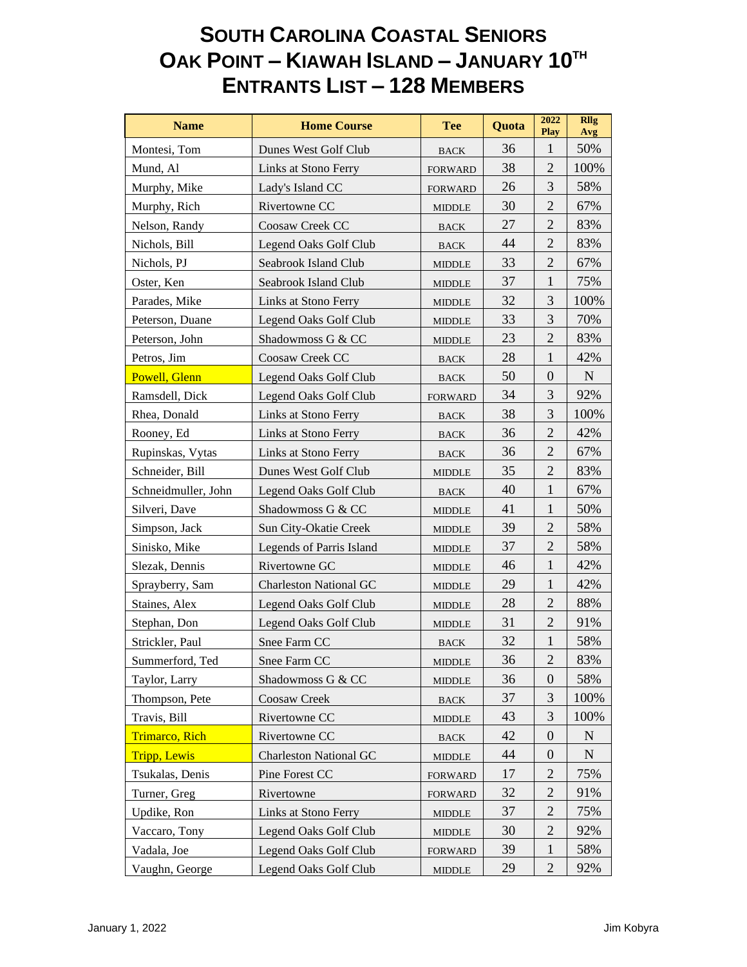| <b>Name</b>         | <b>Home Course</b>            | <b>Tee</b>                      | Quota | 2022<br>Play     | <b>Rllg</b><br>Avg |
|---------------------|-------------------------------|---------------------------------|-------|------------------|--------------------|
| Montesi, Tom        | Dunes West Golf Club          | <b>BACK</b>                     | 36    | $\mathbf{1}$     | 50%                |
| Mund, Al            | Links at Stono Ferry          | <b>FORWARD</b>                  | 38    | $\overline{2}$   | 100%               |
| Murphy, Mike        | Lady's Island CC              | <b>FORWARD</b>                  | 26    | 3                | 58%                |
| Murphy, Rich        | Rivertowne CC                 | <b>MIDDLE</b>                   | 30    | $\overline{2}$   | 67%                |
| Nelson, Randy       | Coosaw Creek CC               | <b>BACK</b>                     | 27    | $\overline{2}$   | 83%                |
| Nichols, Bill       | Legend Oaks Golf Club         | <b>BACK</b>                     | 44    | $\overline{2}$   | 83%                |
| Nichols, PJ         | Seabrook Island Club          | <b>MIDDLE</b>                   | 33    | $\mathbf{2}$     | 67%                |
| Oster, Ken          | Seabrook Island Club          | <b>MIDDLE</b>                   | 37    | $\mathbf{1}$     | 75%                |
| Parades, Mike       | Links at Stono Ferry          | <b>MIDDLE</b>                   | 32    | 3                | 100%               |
| Peterson, Duane     | Legend Oaks Golf Club         | <b>MIDDLE</b>                   | 33    | 3                | 70%                |
| Peterson, John      | Shadowmoss G & CC             | <b>MIDDLE</b>                   | 23    | $\overline{2}$   | 83%                |
| Petros, Jim         | Coosaw Creek CC               | <b>BACK</b>                     | 28    | $\mathbf{1}$     | 42%                |
| Powell, Glenn       | Legend Oaks Golf Club         | <b>BACK</b>                     | 50    | $\mathbf{0}$     | $\mathbf N$        |
| Ramsdell, Dick      | Legend Oaks Golf Club         | <b>FORWARD</b>                  | 34    | 3                | 92%                |
| Rhea, Donald        | Links at Stono Ferry          | <b>BACK</b>                     | 38    | 3                | 100%               |
| Rooney, Ed          | Links at Stono Ferry          | <b>BACK</b>                     | 36    | $\overline{2}$   | 42%                |
| Rupinskas, Vytas    | Links at Stono Ferry          | <b>BACK</b>                     | 36    | $\overline{2}$   | 67%                |
| Schneider, Bill     | Dunes West Golf Club          | <b>MIDDLE</b>                   | 35    | $\overline{2}$   | 83%                |
| Schneidmuller, John | Legend Oaks Golf Club         | <b>BACK</b>                     | 40    | $\mathbf{1}$     | 67%                |
| Silveri, Dave       | Shadowmoss G & CC             | <b>MIDDLE</b>                   | 41    | $\mathbf{1}$     | 50%                |
| Simpson, Jack       | Sun City-Okatie Creek         | <b>MIDDLE</b>                   | 39    | $\overline{2}$   | 58%                |
| Sinisko, Mike       | Legends of Parris Island      | <b>MIDDLE</b>                   | 37    | $\overline{2}$   | 58%                |
| Slezak, Dennis      | Rivertowne GC                 | <b>MIDDLE</b>                   | 46    | $\mathbf{1}$     | 42%                |
| Sprayberry, Sam     | <b>Charleston National GC</b> | <b>MIDDLE</b>                   | 29    | $\mathbf{1}$     | 42%                |
| Staines, Alex       | Legend Oaks Golf Club         | <b>MIDDLE</b>                   | 28    | $\overline{2}$   | 88%                |
| Stephan, Don        | Legend Oaks Golf Club         | <b>MIDDLE</b>                   | 31    | $\mathbf{2}$     | 91%                |
| Strickler, Paul     | Snee Farm CC                  | <b>BACK</b>                     | 32    | $\mathbf{1}$     | 58%                |
| Summerford, Ted     | Snee Farm CC                  | <b>MIDDLE</b>                   | 36    | $\overline{c}$   | 83%                |
| Taylor, Larry       | Shadowmoss G & CC             | <b>MIDDLE</b>                   | 36    | $\theta$         | 58%                |
| Thompson, Pete      | Coosaw Creek                  | $_{\mbox{\footnotesize{BACK}}}$ | 37    | 3                | 100%               |
| Travis, Bill        | Rivertowne CC                 | <b>MIDDLE</b>                   | 43    | 3                | 100%               |
| Trimarco, Rich      | Rivertowne CC                 | <b>BACK</b>                     | 42    | $\overline{0}$   | $\mathbf N$        |
| <b>Tripp, Lewis</b> | <b>Charleston National GC</b> | <b>MIDDLE</b>                   | 44    | $\boldsymbol{0}$ | $\mathbf N$        |
| Tsukalas, Denis     | Pine Forest CC                | <b>FORWARD</b>                  | 17    | $\overline{2}$   | 75%                |
| Turner, Greg        | Rivertowne                    | <b>FORWARD</b>                  | 32    | $\mathbf{2}$     | 91%                |
| Updike, Ron         | Links at Stono Ferry          | $\ensuremath{\mathsf{MIDDLE}}$  | 37    | $\mathbf{2}$     | 75%                |
| Vaccaro, Tony       | Legend Oaks Golf Club         | <b>MIDDLE</b>                   | 30    | $\overline{2}$   | 92%                |
| Vadala, Joe         | Legend Oaks Golf Club         | <b>FORWARD</b>                  | 39    | $\mathbf{1}$     | 58%                |
| Vaughn, George      | Legend Oaks Golf Club         | <b>MIDDLE</b>                   | 29    | $\overline{2}$   | 92%                |